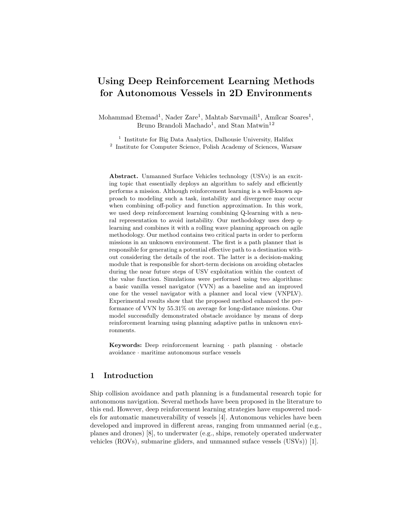# Using Deep Reinforcement Learning Methods for Autonomous Vessels in 2D Environments

Mohammad Etemad<sup>1</sup>, Nader Zare<sup>1</sup>, Mahtab Sarvmaili<sup>1</sup>, Amílcar Soares<sup>1</sup>, Bruno Brandoli Machado<sup>1</sup>, and Stan Matwin<sup>12</sup>

<sup>1</sup> Institute for Big Data Analytics, Dalhousie University, Halifax <sup>2</sup> Institute for Computer Science, Polish Academy of Sciences, Warsaw

Abstract. Unmanned Surface Vehicles technology (USVs) is an exciting topic that essentially deploys an algorithm to safely and efficiently performs a mission. Although reinforcement learning is a well-known approach to modeling such a task, instability and divergence may occur when combining off-policy and function approximation. In this work, we used deep reinforcement learning combining Q-learning with a neural representation to avoid instability. Our methodology uses deep qlearning and combines it with a rolling wave planning approach on agile methodology. Our method contains two critical parts in order to perform missions in an unknown environment. The first is a path planner that is responsible for generating a potential effective path to a destination without considering the details of the root. The latter is a decision-making module that is responsible for short-term decisions on avoiding obstacles during the near future steps of USV exploitation within the context of the value function. Simulations were performed using two algorithms: a basic vanilla vessel navigator (VVN) as a baseline and an improved one for the vessel navigator with a planner and local view (VNPLV). Experimental results show that the proposed method enhanced the performance of VVN by 55.31% on average for long-distance missions. Our model successfully demonstrated obstacle avoidance by means of deep reinforcement learning using planning adaptive paths in unknown environments.

Keywords: Deep reinforcement learning · path planning · obstacle avoidance · maritime autonomous surface vessels

## 1 Introduction

Ship collision avoidance and path planning is a fundamental research topic for autonomous navigation. Several methods have been proposed in the literature to this end. However, deep reinforcement learning strategies have empowered models for automatic maneuverability of vessels [4]. Autonomous vehicles have been developed and improved in different areas, ranging from unmanned aerial (e.g., planes and drones) [8], to underwater (e.g., ships, remotely operated underwater vehicles (ROVs), submarine gliders, and unmanned suface vessels (USVs)) [1].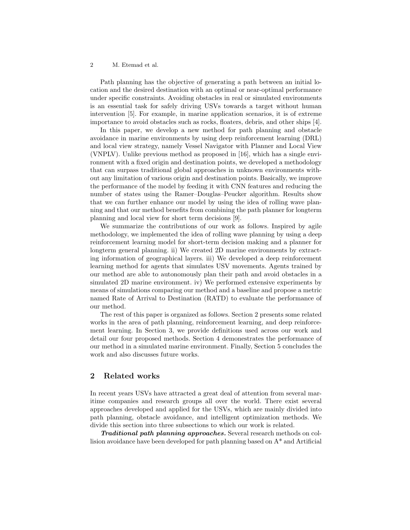#### 2 M. Etemad et al.

Path planning has the objective of generating a path between an initial location and the desired destination with an optimal or near-optimal performance under specific constraints. Avoiding obstacles in real or simulated environments is an essential task for safely driving USVs towards a target without human intervention [5]. For example, in marine application scenarios, it is of extreme importance to avoid obstacles such as rocks, floaters, debris, and other ships [4].

In this paper, we develop a new method for path planning and obstacle avoidance in marine environments by using deep reinforcement learning (DRL) and local view strategy, namely Vessel Navigator with Planner and Local View (VNPLV). Unlike previous method as proposed in [16], which has a single environment with a fixed origin and destination points, we developed a methodology that can surpass traditional global approaches in unknown environments without any limitation of various origin and destination points. Basically, we improve the performance of the model by feeding it with CNN features and reducing the number of states using the Ramer–Douglas–Peucker algorithm. Results show that we can further enhance our model by using the idea of rolling wave planning and that our method benefits from combining the path planner for longterm planning and local view for short term decisions [9].

We summarize the contributions of our work as follows. Inspired by agile methodology, we implemented the idea of rolling wave planning by using a deep reinforcement learning model for short-term decision making and a planner for longterm general planning. ii) We created 2D marine environments by extracting information of geographical layers. iii) We developed a deep reinforcement learning method for agents that simulates USV movements. Agents trained by our method are able to autonomously plan their path and avoid obstacles in a simulated 2D marine environment. iv) We performed extensive experiments by means of simulations comparing our method and a baseline and propose a metric named Rate of Arrival to Destination (RATD) to evaluate the performance of our method.

The rest of this paper is organized as follows. Section 2 presents some related works in the area of path planning, reinforcement learning, and deep reinforcement learning. In Section 3, we provide definitions used across our work and detail our four proposed methods. Section 4 demonestrates the performance of our method in a simulated marine environment. Finally, Section 5 concludes the work and also discusses future works.

## 2 Related works

In recent years USVs have attracted a great deal of attention from several maritime companies and research groups all over the world. There exist several approaches developed and applied for the USVs, which are mainly divided into path planning, obstacle avoidance, and intelligent optimization methods. We divide this section into three subsections to which our work is related.

Traditional path planning approaches. Several research methods on collision avoidance have been developed for path planning based on A\* and Artificial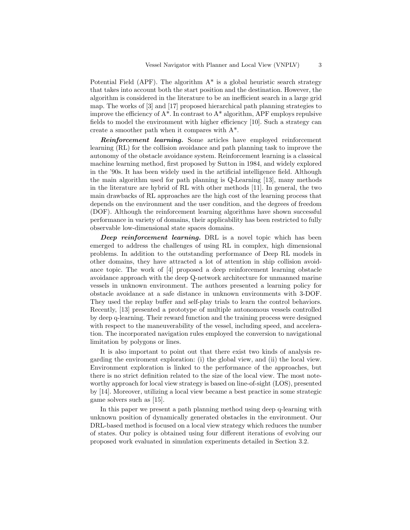Potential Field (APF). The algorithm  $A^*$  is a global heuristic search strategy that takes into account both the start position and the destination. However, the algorithm is considered in the literature to be an inefficient search in a large grid map. The works of [3] and [17] proposed hierarchical path planning strategies to improve the efficiency of  $A^*$ . In contrast to  $A^*$  algorithm, APF employs repulsive fields to model the environment with higher efficiency [10]. Such a strategy can create a smoother path when it compares with A\*.

Reinforcement learning. Some articles have employed reinforcement learning (RL) for the collision avoidance and path planning task to improve the autonomy of the obstacle avoidance system. Reinforcement learning is a classical machine learning method, first proposed by Sutton in 1984, and widely explored in the '90s. It has been widely used in the artificial intelligence field. Although the main algorithm used for path planning is Q-Learning [13], many methods in the literature are hybrid of RL with other methods [11]. In general, the two main drawbacks of RL approaches are the high cost of the learning process that depends on the environment and the user condition, and the degrees of freedom (DOF). Although the reinforcement learning algorithms have shown successful performance in variety of domains, their applicability has been restricted to fully observable low-dimensional state spaces domains.

**Deep reinforcement learning.** DRL is a novel topic which has been emerged to address the challenges of using RL in complex, high dimensional problems. In addition to the outstanding performance of Deep RL models in other domains, they have attracted a lot of attention in ship collision avoidance topic. The work of [4] proposed a deep reinforcement learning obstacle avoidance approach with the deep Q-network architecture for unmanned marine vessels in unknown environment. The authors presented a learning policy for obstacle avoidance at a safe distance in unknown environments with 3-DOF. They used the replay buffer and self-play trials to learn the control behaviors. Recently, [13] presented a prototype of multiple autonomous vessels controlled by deep q-learning. Their reward function and the training process were designed with respect to the maneuverability of the vessel, including speed, and acceleration. The incorporated navigation rules employed the conversion to navigational limitation by polygons or lines.

It is also important to point out that there exist two kinds of analysis regarding the enviroment exploration: (i) the global view, and (ii) the local view. Environment exploration is linked to the performance of the approaches, but there is no strict definition related to the size of the local view. The most noteworthy approach for local view strategy is based on line-of-sight (LOS), presented by [14]. Moreover, utilizing a local view became a best practice in some strategic game solvers such as [15].

In this paper we present a path planning method using deep q-learning with unknown position of dynamically generated obstacles in the environment. Our DRL-based method is focused on a local view strategy which reduces the number of states. Our policy is obtained using four different iterations of evolving our proposed work evaluated in simulation experiments detailed in Section 3.2.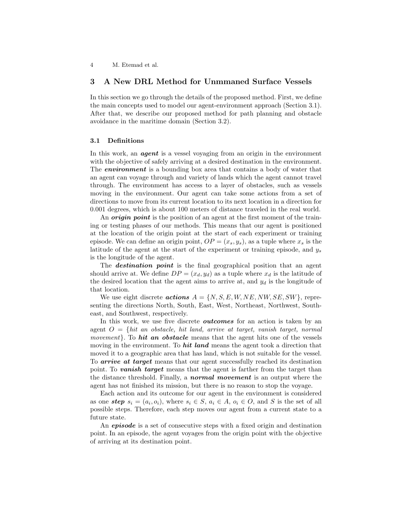## 3 A New DRL Method for Unmmaned Surface Vessels

In this section we go through the details of the proposed method. First, we define the main concepts used to model our agent-environment approach (Section 3.1). After that, we describe our proposed method for path planning and obstacle avoidance in the maritime domain (Section 3.2).

#### 3.1 Definitions

In this work, an **agent** is a vessel voyaging from an origin in the environment with the objective of safely arriving at a desired destination in the environment. The **environment** is a bounding box area that contains a body of water that an agent can voyage through and variety of lands which the agent cannot travel through. The environment has access to a layer of obstacles, such as vessels moving in the environment. Our agent can take some actions from a set of directions to move from its current location to its next location in a direction for 0.001 degrees, which is about 100 meters of distance traveled in the real world.

An *origin point* is the position of an agent at the first moment of the training or testing phases of our methods. This means that our agent is positioned at the location of the origin point at the start of each experiment or training episode. We can define an origin point,  $OP = (x_s, y_s)$ , as a tuple where  $x_s$  is the latitude of the agent at the start of the experiment or training episode, and  $y_s$ is the longitude of the agent.

The **destination point** is the final geographical position that an agent should arrive at. We define  $DP = (x_d, y_d)$  as a tuple where  $x_d$  is the latitude of the desired location that the agent aims to arrive at, and  $y_d$  is the longitude of that location.

We use eight discrete **actions**  $A = \{N, S, E, W, NE, NW, SE, SW\}$ , representing the directions North, South, East, West, Northeast, Northwest, Southeast, and Southwest, respectively.

In this work, we use five discrete *outcomes* for an action is taken by an agent  $O = \{hit an obstacle, hit land, arrive at target, vanish target, normal$ movement}. To **hit an obstacle** means that the agent hits one of the vessels moving in the environment. To **hit land** means the agent took a direction that moved it to a geographic area that has land, which is not suitable for the vessel. To **arrive at target** means that our agent successfully reached its destination point. To **vanish target** means that the agent is farther from the target than the distance threshold. Finally, a **normal movement** is an output where the agent has not finished its mission, but there is no reason to stop the voyage.

Each action and its outcome for our agent in the environment is considered as one **step**  $s_i = (a_i, o_i)$ , where  $s_i \in S$ ,  $a_i \in A$ ,  $o_i \in O$ , and S is the set of all possible steps. Therefore, each step moves our agent from a current state to a future state.

An *episode* is a set of consecutive steps with a fixed origin and destination point. In an episode, the agent voyages from the origin point with the objective of arriving at its destination point.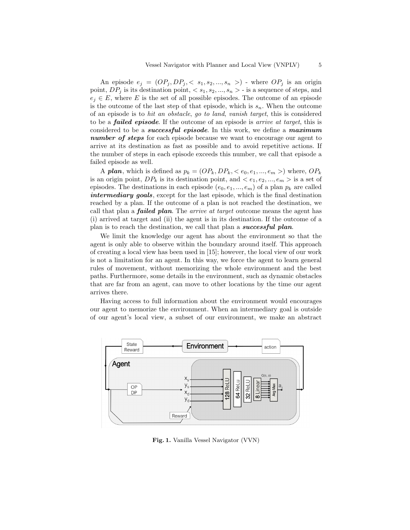An episode  $e_j = (OP_j, DP_j, \langle s_1, s_2, ..., s_n \rangle)$  - where  $OP_j$  is an origin point,  $DP_j$  is its destination point,  $\langle s_1, s_2, ..., s_n \rangle$  - is a sequence of steps, and  $e_i \in E$ , where E is the set of all possible episodes. The outcome of an episode is the outcome of the last step of that episode, which is  $s_n$ . When the outcome of an episode is to hit an obstacle, go to land, vanish target, this is considered to be a *failed episode*. If the outcome of an episode is *arrive at target*, this is considered to be a *successful episode*. In this work, we define a *maximum* number of steps for each episode because we want to encourage our agent to arrive at its destination as fast as possible and to avoid repetitive actions. If the number of steps in each episode exceeds this number, we call that episode a failed episode as well.

A **plan**, which is defined as  $p_k = (OP_k, DP_k, < e_0, e_1, ..., e_m)$  where,  $OP_k$ is an origin point,  $DP_k$  is its destination point, and  $\langle e_1, e_2, ..., e_m \rangle$  is a set of episodes. The destinations in each episode  $(e_0, e_1, ..., e_m)$  of a plan  $p_k$  are called intermediary goals, except for the last episode, which is the final destination reached by a plan. If the outcome of a plan is not reached the destination, we call that plan a *failed plan*. The *arrive at target* outcome means the agent has (i) arrived at target and (ii) the agent is in its destination. If the outcome of a plan is to reach the destination, we call that plan a successful plan.

We limit the knowledge our agent has about the environment so that the agent is only able to observe within the boundary around itself. This approach of creating a local view has been used in [15]; however, the local view of our work is not a limitation for an agent. In this way, we force the agent to learn general rules of movement, without memorizing the whole environment and the best paths. Furthermore, some details in the environment, such as dynamic obstacles that are far from an agent, can move to other locations by the time our agent arrives there.

Having access to full information about the environment would encourages our agent to memorize the environment. When an intermediary goal is outside of our agent's local view, a subset of our environment, we make an abstract



Fig. 1. Vanilla Vessel Navigator (VVN)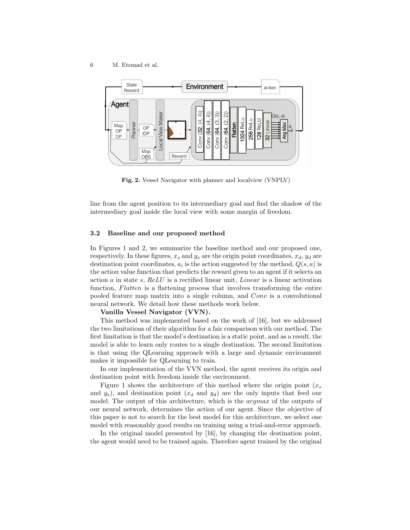#### 6 M. Etemad et al.



Fig. 2. Vessel Navigator with planner and localview (VNPLV)

line from the agent position to its intermediary goal and find the shadow of the intermediary goal inside the local view with some margin of freedom.

#### 3.2 Baseline and our proposed method

In Figures 1 and 2, we summarize the baseline method and our proposed one, respectively. In these figures,  $x_s$  and  $y_s$  are the origin point coordinates,  $x_d$ ,  $y_d$  are destination point coordinates,  $a_i$  is the action suggested by the method,  $Q(s, a)$  is the action value function that predicts the reward given to an agent if it selects an action a in state s, ReLU is a rectified linear unit, Linear is a linear activation function, Flatten is a flattening process that involves transforming the entire pooled feature map matrix into a single column, and Conv is a convolutional neural network. We detail how these methods work below.

#### Vanilla Vessel Navigator (VVN).

This method was implemented based on the work of [16], but we addressed the two limitations of their algorithm for a fair comparison with our method. The first limitation is that the model's destination is a static point, and as a result, the model is able to learn only routes to a single destination. The second limitation is that using the QLearning approach with a large and dynamic environment makes it impossible for QLearning to train.

In our implementation of the VVN method, the agent receives its origin and destination point with freedom inside the environment.

Figure 1 shows the architecture of this method where the origin point  $(x<sub>s</sub>)$ and  $y_s$ ), and destination point  $(x_d$  and  $y_d$ ) are the only inputs that feed our model. The output of this architecture, which is the *argmax* of the outputs of our neural network, determines the action of our agent. Since the objective of this paper is not to search for the best model for this architecture, we select one model with reasonably good results on training using a trial-and-error approach.

In the original model presented by [16], by changing the destination point, the agent would need to be trained again. Therefore agent trained by the original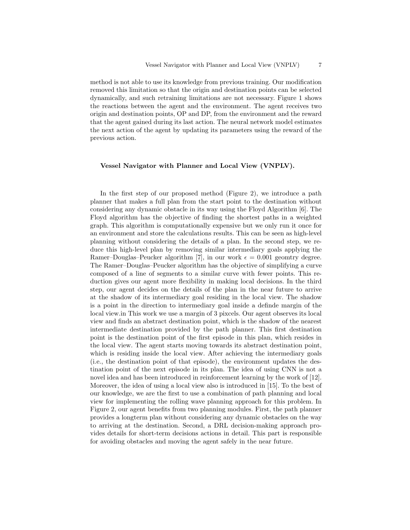method is not able to use its knowledge from previous training. Our modification removed this limitation so that the origin and destination points can be selected dynamically, and such retraining limitations are not necessary. Figure 1 shows the reactions between the agent and the environment. The agent receives two origin and destination points, OP and DP, from the environment and the reward that the agent gained during its last action. The neural network model estimates the next action of the agent by updating its parameters using the reward of the previous action.

#### Vessel Navigator with Planner and Local View (VNPLV).

In the first step of our proposed method (Figure 2), we introduce a path planner that makes a full plan from the start point to the destination without considering any dynamic obstacle in its way using the Floyd Algorithm [6]. The Floyd algorithm has the objective of finding the shortest paths in a weighted graph. This algorithm is computationally expensive but we only run it once for an environment and store the calculations results. This can be seen as high-level planning without considering the details of a plan. In the second step, we reduce this high-level plan by removing similar intermediary goals applying the Ramer–Douglas–Peucker algorithm [7], in our work  $\epsilon = 0.001$  geomtry degree. The Ramer–Douglas–Peucker algorithm has the objective of simplifying a curve composed of a line of segments to a similar curve with fewer points. This reduction gives our agent more flexibility in making local decisions. In the third step, our agent decides on the details of the plan in the near future to arrive at the shadow of its intermediary goal residing in the local view. The shadow is a point in the direction to intermediary goal inside a definde margin of the local view.in This work we use a margin of 3 pixcels. Our agent observes its local view and finds an abstract destination point, which is the shadow of the nearest intermediate destination provided by the path planner. This first destination point is the destination point of the first episode in this plan, which resides in the local view. The agent starts moving towards its abstract destination point, which is residing inside the local view. After achieving the intermediary goals (i.e., the destination point of that episode), the environment updates the destination point of the next episode in its plan. The idea of using CNN is not a novel idea and has been introduced in reinforcement learning by the work of [12]. Moreover, the idea of using a local view also is introduced in [15]. To the best of our knowledge, we are the first to use a combination of path planning and local view for implementing the rolling wave planning approach for this problem. In Figure 2, our agent benefits from two planning modules. First, the path planner provides a longterm plan without considering any dynamic obstacles on the way to arriving at the destination. Second, a DRL decision-making approach provides details for short-term decisions actions in detail. This part is responsible for avoiding obstacles and moving the agent safely in the near future.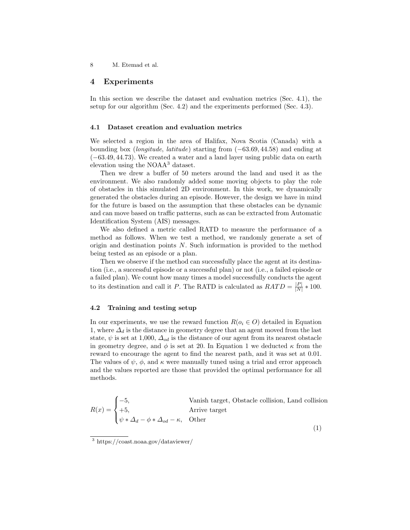8 M. Etemad et al.

### 4 Experiments

In this section we describe the dataset and evaluation metrics (Sec. 4.1), the setup for our algorithm (Sec. 4.2) and the experiments performed (Sec. 4.3).

#### 4.1 Dataset creation and evaluation metrics

We selected a region in the area of Halifax, Nova Scotia (Canada) with a bounding box (longitude, latitude) starting from (−63.69, 44.58) and ending at (−63.49, 44.73). We created a water and a land layer using public data on earth elevation using the NOAA<sup>3</sup> dataset.

Then we drew a buffer of 50 meters around the land and used it as the environment. We also randomly added some moving objects to play the role of obstacles in this simulated 2D environment. In this work, we dynamically generated the obstacles during an episode. However, the design we have in mind for the future is based on the assumption that these obstacles can be dynamic and can move based on traffic patterns, such as can be extracted from Automatic Identification System (AIS) messages.

We also defined a metric called RATD to measure the performance of a method as follows. When we test a method, we randomly generate a set of origin and destination points  $N$ . Such information is provided to the method being tested as an episode or a plan.

Then we observe if the method can successfully place the agent at its destination (i.e., a successful episode or a successful plan) or not (i.e., a failed episode or a failed plan). We count how many times a model successfully conducts the agent to its destination and call it P. The RATD is calculated as  $RATD = \frac{|P|}{|N|}$  $\frac{|P|}{|N|} * 100.$ 

#### 4.2 Training and testing setup

In our experiments, we use the reward function  $R(o_i \in O)$  detailed in Equation 1, where  $\Delta_d$  is the distance in geometry degree that an agent moved from the last state,  $\psi$  is set at 1,000,  $\Delta_{od}$  is the distance of our agent from its nearest obstacle in geometry degree, and  $\phi$  is set at 20. In Equation 1 we deducted  $\kappa$  from the reward to encourage the agent to find the nearest path, and it was set at 0.01. The values of  $\psi$ ,  $\phi$ , and  $\kappa$  were manually tuned using a trial and error approach and the values reported are those that provided the optimal performance for all methods.

$$
R(x) = \begin{cases} -5, & \text{Vanish target, Obstacle collision, Land collision} \\ +5, & \text{Arrive target} \\ \psi * \Delta_d - \phi * \Delta_{od} - \kappa, & \text{Other} \end{cases}
$$
(1)

<sup>3</sup> https://coast.noaa.gov/dataviewer/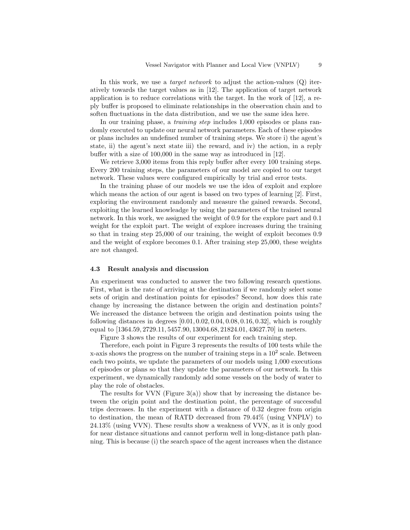In this work, we use a *target network* to adjust the action-values  $(Q)$  iteratively towards the target values as in [12]. The application of target network application is to reduce correlations with the target. In the work of [12], a reply buffer is proposed to eliminate relationships in the observation chain and to soften fluctuations in the data distribution, and we use the same idea here.

In our training phase, a training step includes 1,000 episodes or plans randomly executed to update our neural network parameters. Each of these episodes or plans includes an undefined number of training steps. We store i) the agent's state, ii) the agent's next state iii) the reward, and iv) the action, in a reply buffer with a size of 100,000 in the same way as introduced in [12].

We retrieve 3,000 items from this reply buffer after every 100 training steps. Every 200 training steps, the parameters of our model are copied to our target network. These values were configured empirically by trial and error tests.

In the training phase of our models we use the idea of exploit and explore which means the action of our agent is based on two types of learning [2]. First, exploring the environment randomly and measure the gained rewards. Second, exploiting the learned knowleadge by using the parameters of the trained neural network. In this work, we assigned the weight of 0.9 for the explore part and 0.1 weight for the exploit part. The weight of explore increases during the training so that in traing step 25,000 of our training, the weight of exploit becomes 0.9 and the weight of explore becomes 0.1. After training step 25,000, these weights are not changed.

#### 4.3 Result analysis and discussion

An experiment was conducted to answer the two following research questions. First, what is the rate of arriving at the destination if we randomly select some sets of origin and destination points for episodes? Second, how does this rate change by increasing the distance between the origin and destination points? We increased the distance between the origin and destination points using the following distances in degrees  $[0.01, 0.02, 0.04, 0.08, 0.16, 0.32]$ , which is roughly equal to [1364.59, 2729.11, 5457.90, 13004.68, 21824.01, 43627.70] in meters.

Figure 3 shows the results of our experiment for each training step.

Therefore, each point in Figure 3 represents the results of 100 tests while the x-axis shows the progress on the number of training steps in a  $10^2$  scale. Between each two points, we update the parameters of our models using 1,000 executions of episodes or plans so that they update the parameters of our network. In this experiment, we dynamically randomly add some vessels on the body of water to play the role of obstacles.

The results for VVN (Figure  $3(a)$ ) show that by increasing the distance between the origin point and the destination point, the percentage of successful trips decreases. In the experiment with a distance of 0.32 degree from origin to destination, the mean of RATD decreased from 79.44% (using VNPLV) to 24.13% (using VVN). These results show a weakness of VVN, as it is only good for near distance situations and cannot perform well in long-distance path planning. This is because (i) the search space of the agent increases when the distance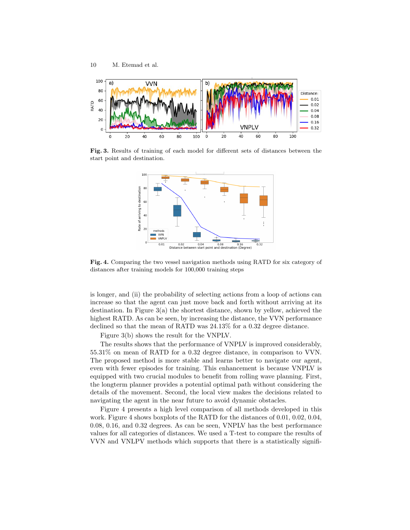

Fig. 3. Results of training of each model for different sets of distances between the start point and destination.



Fig. 4. Comparing the two vessel navigation methods using RATD for six category of distances after training models for 100,000 training steps

is longer, and (ii) the probability of selecting actions from a loop of actions can increase so that the agent can just move back and forth without arriving at its destination. In Figure 3(a) the shortest distance, shown by yellow, achieved the highest RATD. As can be seen, by increasing the distance, the VVN performance declined so that the mean of RATD was 24.13% for a 0.32 degree distance.

Figure 3(b) shows the result for the VNPLV.

The results shows that the performance of VNPLV is improved considerably, 55.31% on mean of RATD for a 0.32 degree distance, in comparison to VVN. The proposed method is more stable and learns better to navigate our agent, even with fewer episodes for training. This enhancement is because VNPLV is equipped with two crucial modules to benefit from rolling wave planning. First, the longterm planner provides a potential optimal path without considering the details of the movement. Second, the local view makes the decisions related to navigating the agent in the near future to avoid dynamic obstacles.

Figure 4 presents a high level comparison of all methods developed in this work. Figure 4 shows boxplots of the RATD for the distances of 0.01, 0.02, 0.04, 0.08, 0.16, and 0.32 degrees. As can be seen, VNPLV has the best performance values for all categories of distances. We used a T-test to compare the results of VVN and VNLPV methods which supports that there is a statistically signifi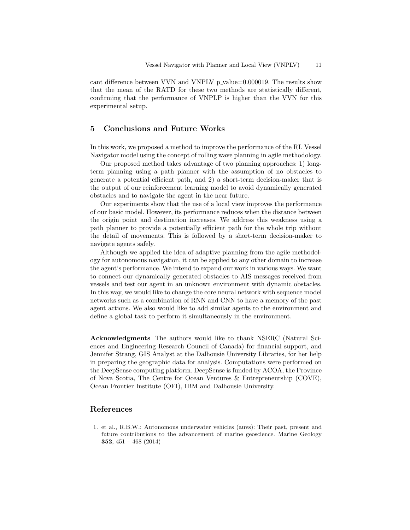cant difference between VVN and VNPLV p\_value=0.000019. The results show that the mean of the RATD for these two methods are statistically different, confirming that the performance of VNPLP is higher than the VVN for this experimental setup.

# 5 Conclusions and Future Works

In this work, we proposed a method to improve the performance of the RL Vessel Navigator model using the concept of rolling wave planning in agile methodology.

Our proposed method takes advantage of two planning approaches: 1) longterm planning using a path planner with the assumption of no obstacles to generate a potential efficient path, and 2) a short-term decision-maker that is the output of our reinforcement learning model to avoid dynamically generated obstacles and to navigate the agent in the near future.

Our experiments show that the use of a local view improves the performance of our basic model. However, its performance reduces when the distance between the origin point and destination increases. We address this weakness using a path planner to provide a potentially efficient path for the whole trip without the detail of movements. This is followed by a short-term decision-maker to navigate agents safely.

Although we applied the idea of adaptive planning from the agile methodology for autonomous navigation, it can be applied to any other domain to increase the agent's performance. We intend to expand our work in various ways. We want to connect our dynamically generated obstacles to AIS messages received from vessels and test our agent in an unknown environment with dynamic obstacles. In this way, we would like to change the core neural network with sequence model networks such as a combination of RNN and CNN to have a memory of the past agent actions. We also would like to add similar agents to the environment and define a global task to perform it simultaneously in the environment.

Acknowledgments The authors would like to thank NSERC (Natural Sciences and Engineering Research Council of Canada) for financial support, and Jennifer Strang, GIS Analyst at the Dalhousie University Libraries, for her help in preparing the geographic data for analysis. Computations were performed on the DeepSense computing platform. DeepSense is funded by ACOA, the Province of Nova Scotia, The Centre for Ocean Ventures & Entrepreneurship (COVE), Ocean Frontier Institute (OFI), IBM and Dalhousie University.

# References

1. et al., R.B.W.: Autonomous underwater vehicles (auvs): Their past, present and future contributions to the advancement of marine geoscience. Marine Geology 352, 451 – 468 (2014)